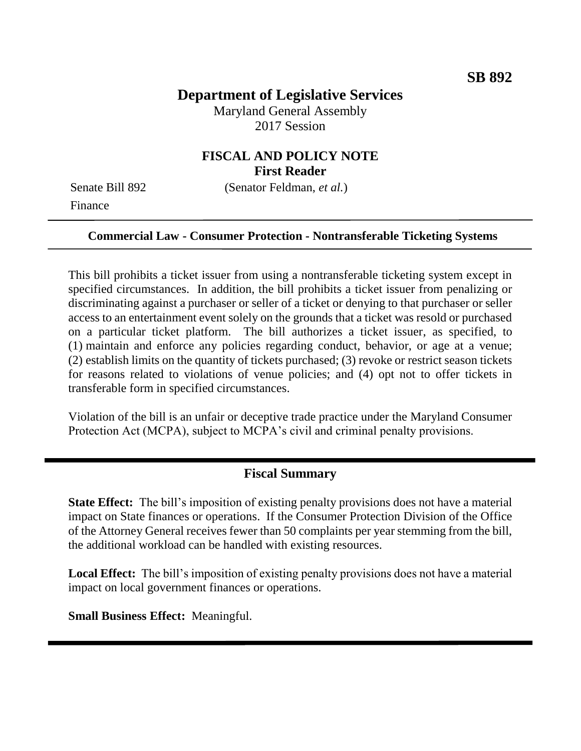# **Department of Legislative Services**

Maryland General Assembly 2017 Session

## **FISCAL AND POLICY NOTE First Reader**

Finance

Senate Bill 892 (Senator Feldman, *et al.*)

#### **Commercial Law - Consumer Protection - Nontransferable Ticketing Systems**

This bill prohibits a ticket issuer from using a nontransferable ticketing system except in specified circumstances. In addition, the bill prohibits a ticket issuer from penalizing or discriminating against a purchaser or seller of a ticket or denying to that purchaser or seller access to an entertainment event solely on the grounds that a ticket was resold or purchased on a particular ticket platform. The bill authorizes a ticket issuer, as specified, to (1) maintain and enforce any policies regarding conduct, behavior, or age at a venue; (2) establish limits on the quantity of tickets purchased; (3) revoke or restrict season tickets for reasons related to violations of venue policies; and (4) opt not to offer tickets in transferable form in specified circumstances.

Violation of the bill is an unfair or deceptive trade practice under the Maryland Consumer Protection Act (MCPA), subject to MCPA's civil and criminal penalty provisions.

### **Fiscal Summary**

**State Effect:** The bill's imposition of existing penalty provisions does not have a material impact on State finances or operations. If the Consumer Protection Division of the Office of the Attorney General receives fewer than 50 complaints per year stemming from the bill, the additional workload can be handled with existing resources.

**Local Effect:** The bill's imposition of existing penalty provisions does not have a material impact on local government finances or operations.

**Small Business Effect:** Meaningful.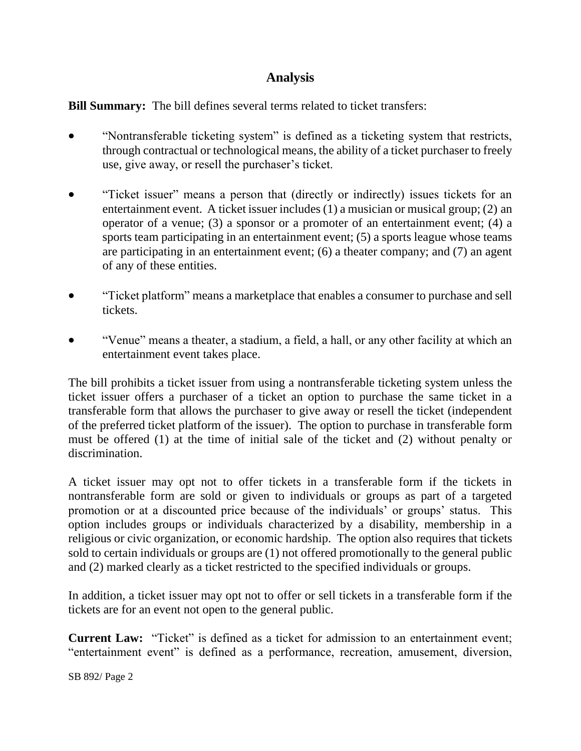# **Analysis**

**Bill Summary:** The bill defines several terms related to ticket transfers:

- "Nontransferable ticketing system" is defined as a ticketing system that restricts, through contractual or technological means, the ability of a ticket purchaser to freely use, give away, or resell the purchaser's ticket.
- "Ticket issuer" means a person that (directly or indirectly) issues tickets for an entertainment event. A ticket issuer includes (1) a musician or musical group; (2) an operator of a venue; (3) a sponsor or a promoter of an entertainment event; (4) a sports team participating in an entertainment event; (5) a sports league whose teams are participating in an entertainment event; (6) a theater company; and (7) an agent of any of these entities.
- "Ticket platform" means a marketplace that enables a consumer to purchase and sell tickets.
- "Venue" means a theater, a stadium, a field, a hall, or any other facility at which an entertainment event takes place.

The bill prohibits a ticket issuer from using a nontransferable ticketing system unless the ticket issuer offers a purchaser of a ticket an option to purchase the same ticket in a transferable form that allows the purchaser to give away or resell the ticket (independent of the preferred ticket platform of the issuer). The option to purchase in transferable form must be offered (1) at the time of initial sale of the ticket and (2) without penalty or discrimination.

A ticket issuer may opt not to offer tickets in a transferable form if the tickets in nontransferable form are sold or given to individuals or groups as part of a targeted promotion or at a discounted price because of the individuals' or groups' status. This option includes groups or individuals characterized by a disability, membership in a religious or civic organization, or economic hardship. The option also requires that tickets sold to certain individuals or groups are (1) not offered promotionally to the general public and (2) marked clearly as a ticket restricted to the specified individuals or groups.

In addition, a ticket issuer may opt not to offer or sell tickets in a transferable form if the tickets are for an event not open to the general public.

**Current Law:** "Ticket" is defined as a ticket for admission to an entertainment event; "entertainment event" is defined as a performance, recreation, amusement, diversion,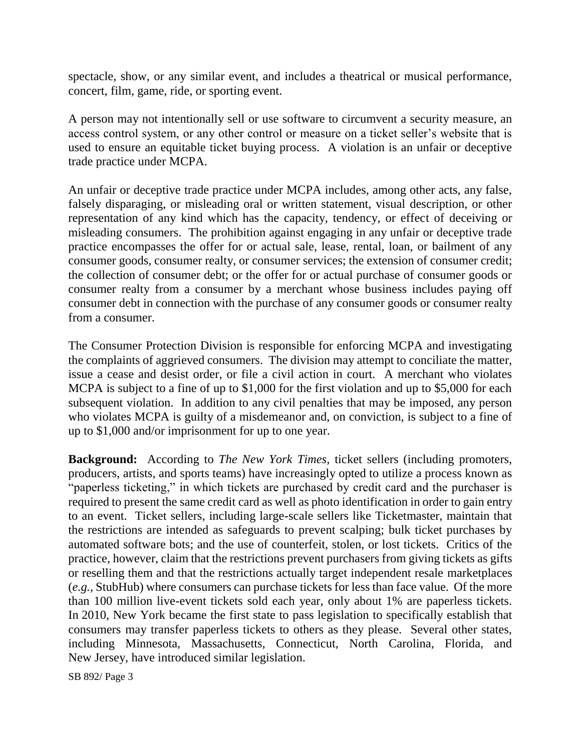spectacle, show, or any similar event, and includes a theatrical or musical performance, concert, film, game, ride, or sporting event.

A person may not intentionally sell or use software to circumvent a security measure, an access control system, or any other control or measure on a ticket seller's website that is used to ensure an equitable ticket buying process. A violation is an unfair or deceptive trade practice under MCPA.

An unfair or deceptive trade practice under MCPA includes, among other acts, any false, falsely disparaging, or misleading oral or written statement, visual description, or other representation of any kind which has the capacity, tendency, or effect of deceiving or misleading consumers. The prohibition against engaging in any unfair or deceptive trade practice encompasses the offer for or actual sale, lease, rental, loan, or bailment of any consumer goods, consumer realty, or consumer services; the extension of consumer credit; the collection of consumer debt; or the offer for or actual purchase of consumer goods or consumer realty from a consumer by a merchant whose business includes paying off consumer debt in connection with the purchase of any consumer goods or consumer realty from a consumer.

The Consumer Protection Division is responsible for enforcing MCPA and investigating the complaints of aggrieved consumers. The division may attempt to conciliate the matter, issue a cease and desist order, or file a civil action in court. A merchant who violates MCPA is subject to a fine of up to \$1,000 for the first violation and up to \$5,000 for each subsequent violation. In addition to any civil penalties that may be imposed, any person who violates MCPA is guilty of a misdemeanor and, on conviction, is subject to a fine of up to \$1,000 and/or imprisonment for up to one year.

**Background:** According to *The New York Times*, ticket sellers (including promoters, producers, artists, and sports teams) have increasingly opted to utilize a process known as "paperless ticketing," in which tickets are purchased by credit card and the purchaser is required to present the same credit card as well as photo identification in order to gain entry to an event. Ticket sellers, including large-scale sellers like Ticketmaster, maintain that the restrictions are intended as safeguards to prevent scalping; bulk ticket purchases by automated software bots; and the use of counterfeit, stolen, or lost tickets. Critics of the practice, however, claim that the restrictions prevent purchasers from giving tickets as gifts or reselling them and that the restrictions actually target independent resale marketplaces (*e.g.*, StubHub) where consumers can purchase tickets for less than face value. Of the more than 100 million live-event tickets sold each year, only about 1% are paperless tickets. In 2010, New York became the first state to pass legislation to specifically establish that consumers may transfer paperless tickets to others as they please. Several other states, including Minnesota, Massachusetts, Connecticut, North Carolina, Florida, and New Jersey, have introduced similar legislation.